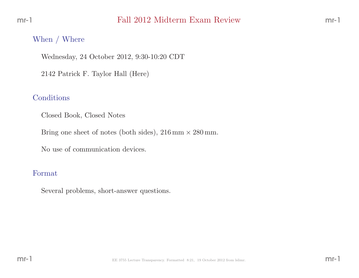#### When / Where

Wednesday, <sup>24</sup> October 2012, 9:30-10:20 CDT

<sup>2142</sup> Patrick F. Taylor Hall (Here)

## Conditions

Closed Book, Closed Notes

Bring one sheet of notes (both sides),  $216 \text{ mm} \times 280 \text{ mm}$ .

No use of communication devices.

#### Format

Several problems, short-answer questions.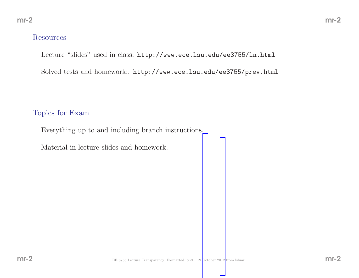#### Resources

Lecture "slides" used in class: http://www.ece.lsu.edu/ee3755/ln.html

Solved tests and homework:. http://www.ece.lsu.edu/ee3755/prev.html

#### Topics for Exam

Everything up to and including branch instructions.

Material in lecture slides and homework.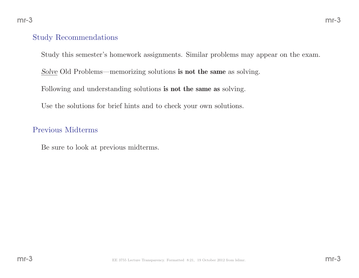#### Study Recommendations

Study this semester's homework assignments. Similar problems may appear on the exam.

 $Solve$  Old Problems—memorizing solutions **is not the same** as solving.

Following and understanding solutions **is not the same as** solving.

Use the solutions for brief hints and to check your own solutions.

#### Previous Midterms

Be sure to look at previous midterms.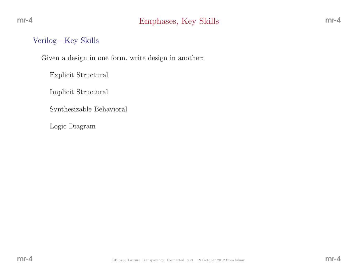## Verilog—Key Skills

Given <sup>a</sup> design in one form, write design in another:

Explicit Structural

Implicit Structural

Synthesizable Behavioral

Logic Diagram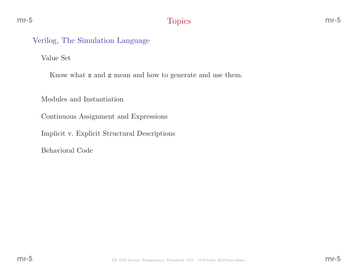Value Set

Know what **x** and **z** mean and how to generate and use them.

Modules and Instantiation

Continuous Assignment and Expressions

Implicit v. Explicit Structural Descriptions

Behavioral Code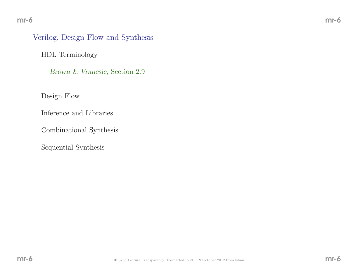## Verilog, Design Flow and Synthesis

HDL Terminology

Brown & Vranesic, Section 2.9

Design Flow

Inference and Libraries

Combinational Synthesis

Sequential Synthesis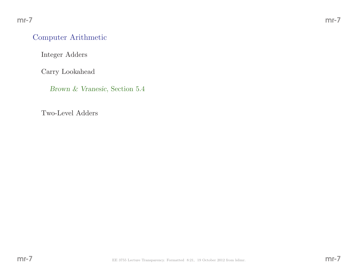## Computer Arithmetic

Integer Adders

Carry Lookahead

Brown & Vranesic, Section 5.4

Two-Level Adders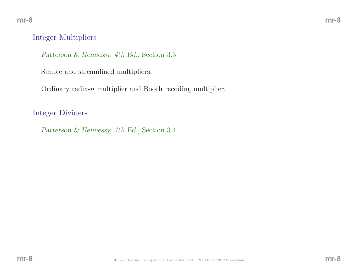#### Integer Multipliers

Patterson & Hennessy, 4th Ed., Section 3.3

Simple and streamlined multipliers.

Ordinary radix-n multiplier and Booth recoding multiplier.

Integer Dividers

Patterson & Hennessy, 4th Ed., Section 3.4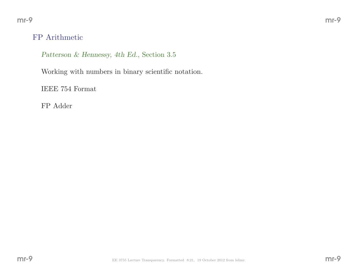## FP Arithmetic

Patterson & Hennessy, 4th Ed., Section 3.5

Working with numbers in binary scientific notation.

IEEE <sup>754</sup> Format

FP Adder